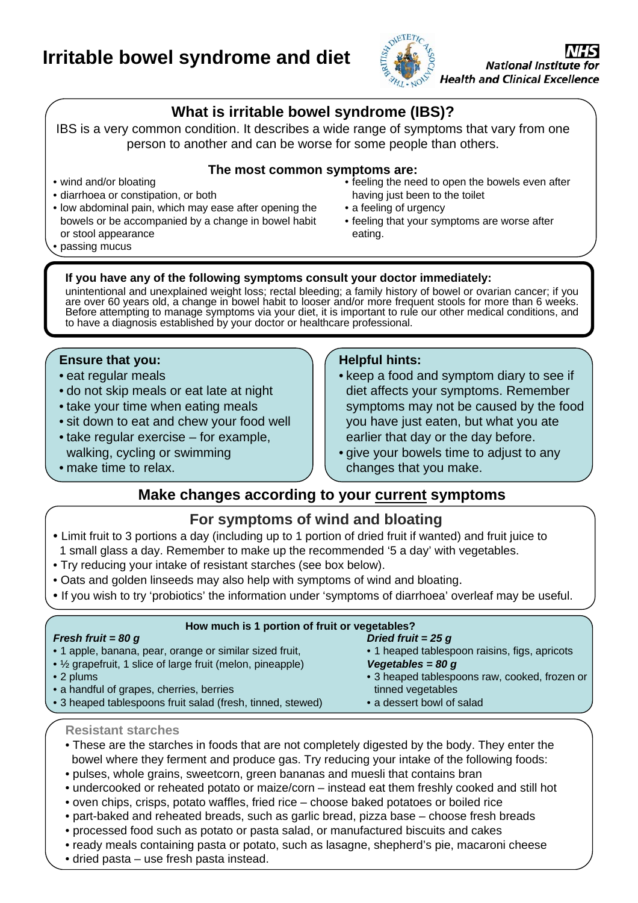# **Irritable bowel syndrome and diet**



## **What is irritable bowel syndrome (IBS)?**

IBS is a very common condition. It describes a wide range of symptoms that vary from one person to another and can be worse for some people than others.

### **The most common symptoms are:**

- wind and/or bloating
- diarrhoea or constipation, or both
- low abdominal pain, which may ease after opening the bowels or be accompanied by a change in bowel habit or stool appearance
- feeling the need to open the bowels even after having just been to the toilet
- a feeling of urgency
- • feeling that your symptoms are worse after eating.

• passing mucus

### **If you have any of the following symptoms consult your doctor immediately:**

unintentional and unexplained weight loss; rectal bleeding; a family history of bowel or ovarian cancer; if you are over 60 years old, a change in bowel habit to looser and/or more frequent stools for more than 6 weeks. Before attempting to manage symptoms via your diet, it is important to rule our other medical conditions, and to have a diagnosis established by your doctor or healthcare professional.

#### **Ensure that you:**

- eat regular meals
- do not skip meals or eat late at night
- take your time when eating meals
- sit down to eat and chew your food well
- take regular exercise for example, walking, cycling or swimming

#### **Helpful hints:**

- keep a food and symptom diary to see if diet affects your symptoms. Remember symptoms may not be caused by the food you have just eaten, but what you ate earlier that day or the day before.
- give your bowels time to adjust to any changes that you make.

### • make time to relax.

### **Make changes according to your current symptoms**

### **For symptoms of wind and bloating**

- 1 small glass a day. Remember to make up the recommended '5 a day' with vegetables. • Limit fruit to 3 portions a day (including up to 1 portion of dried fruit if wanted) and fruit juice to
- Try reducing your intake of resistant starches (see box below).
- Oats and golden linseeds may also help with symptoms of wind and bloating.
- If you wish to try 'probiotics' the information under 'symptoms of diarrhoea' overleaf may be useful.

| How much is 1 portion of fruit or vegetables? |
|-----------------------------------------------|
| Dried fruit = $25 g$                          |
| • 1 heaped tablespoon raisins, figs, apricots |
| Vegetables = $80 g$                           |
| • 3 heaped tablespoons raw, cooked, frozen or |
| tinned vegetables                             |
| • a dessert bowl of salad                     |
|                                               |

#### **Resistant starches**

- bowel where they ferment and produce gas. Try reducing your intake of the following foods: • These are the starches in foods that are not completely digested by the body. They enter the
- pulses, whole grains, sweetcorn, green bananas and muesli that contains bran
- undercooked or reheated potato or maize/corn instead eat them freshly cooked and still hot
- oven chips, crisps, potato waffles, fried rice choose baked potatoes or boiled rice
- part-baked and reheated breads, such as garlic bread, pizza base choose fresh breads
- processed food such as potato or pasta salad, or manufactured biscuits and cakes
- ready meals containing pasta or potato, such as lasagne, shepherd's pie, macaroni cheese
- dried pasta use fresh pasta instead.